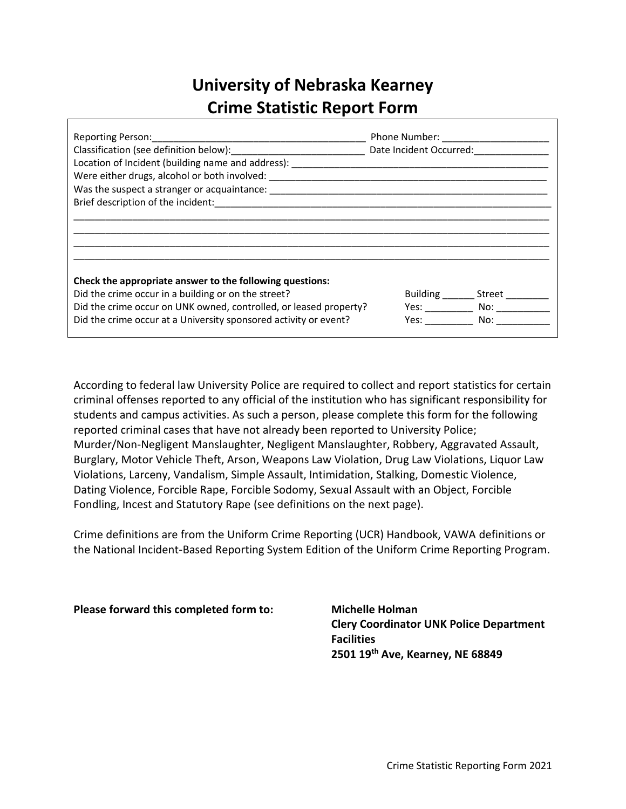## **University of Nebraska Kearney Crime Statistic Report Form**

|                                                                   | Date Incident Occurred: 2000                                                                                                                                                                                                   |               |
|-------------------------------------------------------------------|--------------------------------------------------------------------------------------------------------------------------------------------------------------------------------------------------------------------------------|---------------|
|                                                                   |                                                                                                                                                                                                                                |               |
|                                                                   |                                                                                                                                                                                                                                |               |
|                                                                   |                                                                                                                                                                                                                                |               |
|                                                                   |                                                                                                                                                                                                                                |               |
|                                                                   |                                                                                                                                                                                                                                |               |
| Check the appropriate answer to the following questions:          |                                                                                                                                                                                                                                |               |
| Did the crime occur in a building or on the street?               | Building _____                                                                                                                                                                                                                 | Street ______ |
| Did the crime occur on UNK owned, controlled, or leased property? | Yes: a controller and the controller of the controller and controller and controller and controller and controller and controller and controller and controller and controller and controller and controller and controller an | No:           |
| Did the crime occur at a University sponsored activity or event?  | Yes:                                                                                                                                                                                                                           | No:           |

According to federal law University Police are required to collect and report statistics for certain criminal offenses reported to any official of the institution who has significant responsibility for students and campus activities. As such a person, please complete this form for the following reported criminal cases that have not already been reported to University Police; Murder/Non-Negligent Manslaughter, Negligent Manslaughter, Robbery, Aggravated Assault, Burglary, Motor Vehicle Theft, Arson, Weapons Law Violation, Drug Law Violations, Liquor Law Violations, Larceny, Vandalism, Simple Assault, Intimidation, Stalking, Domestic Violence, Dating Violence, Forcible Rape, Forcible Sodomy, Sexual Assault with an Object, Forcible Fondling, Incest and Statutory Rape (see definitions on the next page).

Crime definitions are from the Uniform Crime Reporting (UCR) Handbook, VAWA definitions or the National Incident-Based Reporting System Edition of the Uniform Crime Reporting Program.

**Please forward this completed form to: Michelle Holman**

**Clery Coordinator UNK Police Department Facilities 2501 19th Ave, Kearney, NE 68849**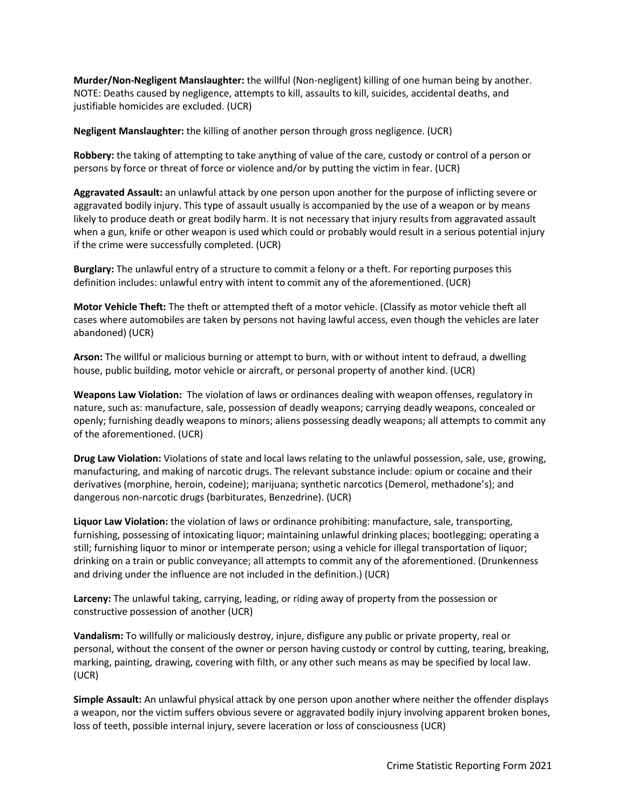**Murder/Non-Negligent Manslaughter:** the willful (Non-negligent) killing of one human being by another. NOTE: Deaths caused by negligence, attempts to kill, assaults to kill, suicides, accidental deaths, and justifiable homicides are excluded. (UCR)

**Negligent Manslaughter:** the killing of another person through gross negligence. (UCR)

**Robbery:** the taking of attempting to take anything of value of the care, custody or control of a person or persons by force or threat of force or violence and/or by putting the victim in fear. (UCR)

**Aggravated Assault:** an unlawful attack by one person upon another for the purpose of inflicting severe or aggravated bodily injury. This type of assault usually is accompanied by the use of a weapon or by means likely to produce death or great bodily harm. It is not necessary that injury results from aggravated assault when a gun, knife or other weapon is used which could or probably would result in a serious potential injury if the crime were successfully completed. (UCR)

**Burglary:** The unlawful entry of a structure to commit a felony or a theft. For reporting purposes this definition includes: unlawful entry with intent to commit any of the aforementioned. (UCR)

**Motor Vehicle Theft:** The theft or attempted theft of a motor vehicle. (Classify as motor vehicle theft all cases where automobiles are taken by persons not having lawful access, even though the vehicles are later abandoned) (UCR)

**Arson:** The willful or malicious burning or attempt to burn, with or without intent to defraud, a dwelling house, public building, motor vehicle or aircraft, or personal property of another kind. (UCR)

**Weapons Law Violation:** The violation of laws or ordinances dealing with weapon offenses, regulatory in nature, such as: manufacture, sale, possession of deadly weapons; carrying deadly weapons, concealed or openly; furnishing deadly weapons to minors; aliens possessing deadly weapons; all attempts to commit any of the aforementioned. (UCR)

**Drug Law Violation:** Violations of state and local laws relating to the unlawful possession, sale, use, growing, manufacturing, and making of narcotic drugs. The relevant substance include: opium or cocaine and their derivatives (morphine, heroin, codeine); marijuana; synthetic narcotics (Demerol, methadone's); and dangerous non-narcotic drugs (barbiturates, Benzedrine). (UCR)

**Liquor Law Violation:** the violation of laws or ordinance prohibiting: manufacture, sale, transporting, furnishing, possessing of intoxicating liquor; maintaining unlawful drinking places; bootlegging; operating a still; furnishing liquor to minor or intemperate person; using a vehicle for illegal transportation of liquor; drinking on a train or public conveyance; all attempts to commit any of the aforementioned. (Drunkenness and driving under the influence are not included in the definition.) (UCR)

**Larceny:** The unlawful taking, carrying, leading, or riding away of property from the possession or constructive possession of another (UCR)

**Vandalism:** To willfully or maliciously destroy, injure, disfigure any public or private property, real or personal, without the consent of the owner or person having custody or control by cutting, tearing, breaking, marking, painting, drawing, covering with filth, or any other such means as may be specified by local law. (UCR)

**Simple Assault:** An unlawful physical attack by one person upon another where neither the offender displays a weapon, nor the victim suffers obvious severe or aggravated bodily injury involving apparent broken bones, loss of teeth, possible internal injury, severe laceration or loss of consciousness (UCR)